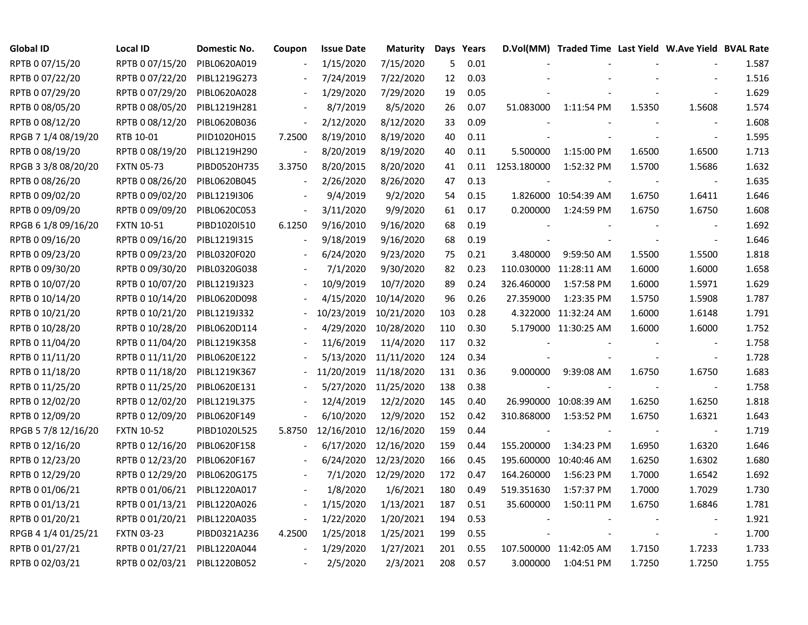| <b>Global ID</b>    | Local ID          | Domestic No. | Coupon                   | <b>Issue Date</b> | Maturity             | Days | Years |             | D.Vol(MM) Traded Time Last Yield W.Ave Yield BVAL Rate |        |                          |       |
|---------------------|-------------------|--------------|--------------------------|-------------------|----------------------|------|-------|-------------|--------------------------------------------------------|--------|--------------------------|-------|
| RPTB 0 07/15/20     | RPTB 0 07/15/20   | PIBL0620A019 |                          | 1/15/2020         | 7/15/2020            | 5    | 0.01  |             |                                                        |        |                          | 1.587 |
| RPTB 0 07/22/20     | RPTB 0 07/22/20   | PIBL1219G273 |                          | 7/24/2019         | 7/22/2020            | 12   | 0.03  |             |                                                        |        |                          | 1.516 |
| RPTB 0 07/29/20     | RPTB 0 07/29/20   | PIBL0620A028 |                          | 1/29/2020         | 7/29/2020            | 19   | 0.05  |             |                                                        |        |                          | 1.629 |
| RPTB 0 08/05/20     | RPTB 0 08/05/20   | PIBL1219H281 |                          | 8/7/2019          | 8/5/2020             | 26   | 0.07  | 51.083000   | 1:11:54 PM                                             | 1.5350 | 1.5608                   | 1.574 |
| RPTB 0 08/12/20     | RPTB 0 08/12/20   | PIBL0620B036 | $\overline{\phantom{a}}$ | 2/12/2020         | 8/12/2020            | 33   | 0.09  |             |                                                        |        | $\overline{\phantom{a}}$ | 1.608 |
| RPGB 7 1/4 08/19/20 | RTB 10-01         | PIID1020H015 | 7.2500                   | 8/19/2010         | 8/19/2020            | 40   | 0.11  |             |                                                        |        | $\blacksquare$           | 1.595 |
| RPTB 0 08/19/20     | RPTB 0 08/19/20   | PIBL1219H290 |                          | 8/20/2019         | 8/19/2020            | 40   | 0.11  | 5.500000    | 1:15:00 PM                                             | 1.6500 | 1.6500                   | 1.713 |
| RPGB 3 3/8 08/20/20 | <b>FXTN 05-73</b> | PIBD0520H735 | 3.3750                   | 8/20/2015         | 8/20/2020            | 41   | 0.11  | 1253.180000 | 1:52:32 PM                                             | 1.5700 | 1.5686                   | 1.632 |
| RPTB 0 08/26/20     | RPTB 0 08/26/20   | PIBL0620B045 |                          | 2/26/2020         | 8/26/2020            | 47   | 0.13  |             |                                                        |        |                          | 1.635 |
| RPTB 0 09/02/20     | RPTB 0 09/02/20   | PIBL1219I306 |                          | 9/4/2019          | 9/2/2020             | 54   | 0.15  |             | 1.826000 10:54:39 AM                                   | 1.6750 | 1.6411                   | 1.646 |
| RPTB 0 09/09/20     | RPTB 0 09/09/20   | PIBL0620C053 |                          | 3/11/2020         | 9/9/2020             | 61   | 0.17  | 0.200000    | 1:24:59 PM                                             | 1.6750 | 1.6750                   | 1.608 |
| RPGB 6 1/8 09/16/20 | <b>FXTN 10-51</b> | PIBD1020I510 | 6.1250                   | 9/16/2010         | 9/16/2020            | 68   | 0.19  |             |                                                        |        | $\sim$                   | 1.692 |
| RPTB 0 09/16/20     | RPTB 0 09/16/20   | PIBL1219I315 |                          | 9/18/2019         | 9/16/2020            | 68   | 0.19  |             |                                                        |        | $\overline{\phantom{a}}$ | 1.646 |
| RPTB 0 09/23/20     | RPTB 0 09/23/20   | PIBL0320F020 |                          | 6/24/2020         | 9/23/2020            | 75   | 0.21  | 3.480000    | 9:59:50 AM                                             | 1.5500 | 1.5500                   | 1.818 |
| RPTB 0 09/30/20     | RPTB 0 09/30/20   | PIBL0320G038 |                          | 7/1/2020          | 9/30/2020            | 82   | 0.23  |             | 110.030000 11:28:11 AM                                 | 1.6000 | 1.6000                   | 1.658 |
| RPTB 0 10/07/20     | RPTB 0 10/07/20   | PIBL1219J323 |                          | 10/9/2019         | 10/7/2020            | 89   | 0.24  | 326.460000  | 1:57:58 PM                                             | 1.6000 | 1.5971                   | 1.629 |
| RPTB 0 10/14/20     | RPTB 0 10/14/20   | PIBL0620D098 |                          | 4/15/2020         | 10/14/2020           | 96   | 0.26  | 27.359000   | 1:23:35 PM                                             | 1.5750 | 1.5908                   | 1.787 |
| RPTB 0 10/21/20     | RPTB 0 10/21/20   | PIBL1219J332 |                          | 10/23/2019        | 10/21/2020           | 103  | 0.28  |             | 4.322000 11:32:24 AM                                   | 1.6000 | 1.6148                   | 1.791 |
| RPTB 0 10/28/20     | RPTB 0 10/28/20   | PIBL0620D114 |                          | 4/29/2020         | 10/28/2020           | 110  | 0.30  |             | 5.179000 11:30:25 AM                                   | 1.6000 | 1.6000                   | 1.752 |
| RPTB 0 11/04/20     | RPTB 0 11/04/20   | PIBL1219K358 |                          | 11/6/2019         | 11/4/2020            | 117  | 0.32  |             |                                                        |        | $\blacksquare$           | 1.758 |
| RPTB 0 11/11/20     | RPTB 0 11/11/20   | PIBL0620E122 |                          | 5/13/2020         | 11/11/2020           | 124  | 0.34  |             |                                                        |        | $\blacksquare$           | 1.728 |
| RPTB 0 11/18/20     | RPTB 0 11/18/20   | PIBL1219K367 |                          | 11/20/2019        | 11/18/2020           | 131  | 0.36  | 9.000000    | 9:39:08 AM                                             | 1.6750 | 1.6750                   | 1.683 |
| RPTB 0 11/25/20     | RPTB 0 11/25/20   | PIBL0620E131 |                          |                   | 5/27/2020 11/25/2020 | 138  | 0.38  |             |                                                        |        | $\sim$                   | 1.758 |
| RPTB 0 12/02/20     | RPTB 0 12/02/20   | PIBL1219L375 |                          | 12/4/2019         | 12/2/2020            | 145  | 0.40  |             | 26.990000 10:08:39 AM                                  | 1.6250 | 1.6250                   | 1.818 |
| RPTB 0 12/09/20     | RPTB 0 12/09/20   | PIBL0620F149 |                          | 6/10/2020         | 12/9/2020            | 152  | 0.42  | 310.868000  | 1:53:52 PM                                             | 1.6750 | 1.6321                   | 1.643 |
| RPGB 5 7/8 12/16/20 | <b>FXTN 10-52</b> | PIBD1020L525 | 5.8750                   | 12/16/2010        | 12/16/2020           | 159  | 0.44  |             |                                                        |        | $\blacksquare$           | 1.719 |
| RPTB 0 12/16/20     | RPTB 0 12/16/20   | PIBL0620F158 |                          | 6/17/2020         | 12/16/2020           | 159  | 0.44  | 155.200000  | 1:34:23 PM                                             | 1.6950 | 1.6320                   | 1.646 |
| RPTB 0 12/23/20     | RPTB 0 12/23/20   | PIBL0620F167 |                          | 6/24/2020         | 12/23/2020           | 166  | 0.45  |             | 195.600000 10:40:46 AM                                 | 1.6250 | 1.6302                   | 1.680 |
| RPTB 0 12/29/20     | RPTB 0 12/29/20   | PIBL0620G175 |                          | 7/1/2020          | 12/29/2020           | 172  | 0.47  | 164.260000  | 1:56:23 PM                                             | 1.7000 | 1.6542                   | 1.692 |
| RPTB 0 01/06/21     | RPTB 0 01/06/21   | PIBL1220A017 |                          | 1/8/2020          | 1/6/2021             | 180  | 0.49  | 519.351630  | 1:57:37 PM                                             | 1.7000 | 1.7029                   | 1.730 |
| RPTB 0 01/13/21     | RPTB 0 01/13/21   | PIBL1220A026 | $\frac{1}{2}$            | 1/15/2020         | 1/13/2021            | 187  | 0.51  | 35.600000   | 1:50:11 PM                                             | 1.6750 | 1.6846                   | 1.781 |
| RPTB 0 01/20/21     | RPTB 0 01/20/21   | PIBL1220A035 | $\overline{\phantom{a}}$ | 1/22/2020         | 1/20/2021            | 194  | 0.53  |             |                                                        |        | $\blacksquare$           | 1.921 |
| RPGB 4 1/4 01/25/21 | <b>FXTN 03-23</b> | PIBD0321A236 | 4.2500                   | 1/25/2018         | 1/25/2021            | 199  | 0.55  |             |                                                        |        | $\overline{\phantom{a}}$ | 1.700 |
| RPTB 0 01/27/21     | RPTB 0 01/27/21   | PIBL1220A044 |                          | 1/29/2020         | 1/27/2021            | 201  | 0.55  |             | 107.500000 11:42:05 AM                                 | 1.7150 | 1.7233                   | 1.733 |
| RPTB 0 02/03/21     | RPTB 0 02/03/21   | PIBL1220B052 |                          | 2/5/2020          | 2/3/2021             | 208  | 0.57  | 3.000000    | 1:04:51 PM                                             | 1.7250 | 1.7250                   | 1.755 |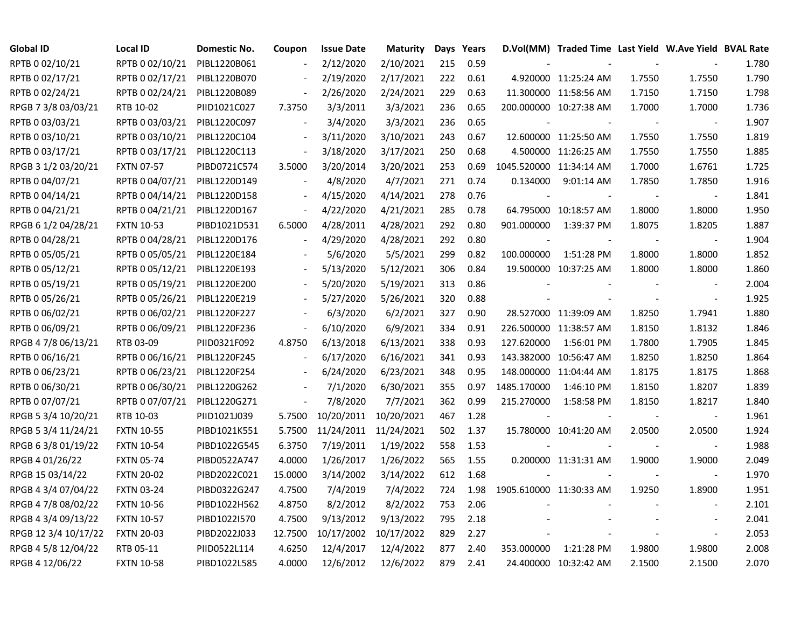| Global ID            | Local ID          | <b>Domestic No.</b> | Coupon                   | <b>Issue Date</b>     | <b>Maturity</b> |     | Days Years |                         | D.Vol(MM) Traded Time Last Yield W.Ave Yield BVAL Rate |        |                          |       |
|----------------------|-------------------|---------------------|--------------------------|-----------------------|-----------------|-----|------------|-------------------------|--------------------------------------------------------|--------|--------------------------|-------|
| RPTB 0 02/10/21      | RPTB 0 02/10/21   | PIBL1220B061        |                          | 2/12/2020             | 2/10/2021       | 215 | 0.59       |                         |                                                        |        |                          | 1.780 |
| RPTB 0 02/17/21      | RPTB 0 02/17/21   | PIBL1220B070        |                          | 2/19/2020             | 2/17/2021       | 222 | 0.61       |                         | 4.920000 11:25:24 AM                                   | 1.7550 | 1.7550                   | 1.790 |
| RPTB 0 02/24/21      | RPTB 0 02/24/21   | PIBL1220B089        |                          | 2/26/2020             | 2/24/2021       | 229 | 0.63       |                         | 11.300000 11:58:56 AM                                  | 1.7150 | 1.7150                   | 1.798 |
| RPGB 7 3/8 03/03/21  | RTB 10-02         | PIID1021C027        | 7.3750                   | 3/3/2011              | 3/3/2021        | 236 | 0.65       |                         | 200.000000 10:27:38 AM                                 | 1.7000 | 1.7000                   | 1.736 |
| RPTB 0 03/03/21      | RPTB 0 03/03/21   | PIBL1220C097        | $\overline{\phantom{a}}$ | 3/4/2020              | 3/3/2021        | 236 | 0.65       |                         |                                                        | $\sim$ | $\overline{\phantom{a}}$ | 1.907 |
| RPTB 0 03/10/21      | RPTB 0 03/10/21   | PIBL1220C104        | $\blacksquare$           | 3/11/2020             | 3/10/2021       | 243 | 0.67       |                         | 12.600000 11:25:50 AM                                  | 1.7550 | 1.7550                   | 1.819 |
| RPTB 0 03/17/21      | RPTB 0 03/17/21   | PIBL1220C113        | $\blacksquare$           | 3/18/2020             | 3/17/2021       | 250 | 0.68       |                         | 4.500000 11:26:25 AM                                   | 1.7550 | 1.7550                   | 1.885 |
| RPGB 3 1/2 03/20/21  | <b>FXTN 07-57</b> | PIBD0721C574        | 3.5000                   | 3/20/2014             | 3/20/2021       | 253 | 0.69       | 1045.520000 11:34:14 AM |                                                        | 1.7000 | 1.6761                   | 1.725 |
| RPTB 0 04/07/21      | RPTB 0 04/07/21   | PIBL1220D149        |                          | 4/8/2020              | 4/7/2021        | 271 | 0.74       | 0.134000                | 9:01:14 AM                                             | 1.7850 | 1.7850                   | 1.916 |
| RPTB 0 04/14/21      | RPTB 0 04/14/21   | PIBL1220D158        |                          | 4/15/2020             | 4/14/2021       | 278 | 0.76       |                         |                                                        |        |                          | 1.841 |
| RPTB 0 04/21/21      | RPTB 0 04/21/21   | PIBL1220D167        | $\blacksquare$           | 4/22/2020             | 4/21/2021       | 285 | 0.78       |                         | 64.795000 10:18:57 AM                                  | 1.8000 | 1.8000                   | 1.950 |
| RPGB 6 1/2 04/28/21  | <b>FXTN 10-53</b> | PIBD1021D531        | 6.5000                   | 4/28/2011             | 4/28/2021       | 292 | 0.80       | 901.000000              | 1:39:37 PM                                             | 1.8075 | 1.8205                   | 1.887 |
| RPTB 0 04/28/21      | RPTB 0 04/28/21   | PIBL1220D176        | $\blacksquare$           | 4/29/2020             | 4/28/2021       | 292 | 0.80       |                         |                                                        |        | $\blacksquare$           | 1.904 |
| RPTB 0 05/05/21      | RPTB 0 05/05/21   | PIBL1220E184        |                          | 5/6/2020              | 5/5/2021        | 299 | 0.82       | 100.000000              | 1:51:28 PM                                             | 1.8000 | 1.8000                   | 1.852 |
| RPTB 0 05/12/21      | RPTB 0 05/12/21   | PIBL1220E193        |                          | 5/13/2020             | 5/12/2021       | 306 | 0.84       |                         | 19.500000 10:37:25 AM                                  | 1.8000 | 1.8000                   | 1.860 |
| RPTB 0 05/19/21      | RPTB 0 05/19/21   | PIBL1220E200        |                          | 5/20/2020             | 5/19/2021       | 313 | 0.86       |                         |                                                        |        |                          | 2.004 |
| RPTB 0 05/26/21      | RPTB 0 05/26/21   | PIBL1220E219        |                          | 5/27/2020             | 5/26/2021       | 320 | 0.88       |                         |                                                        |        | $\sim$                   | 1.925 |
| RPTB 0 06/02/21      | RPTB 0 06/02/21   | PIBL1220F227        |                          | 6/3/2020              | 6/2/2021        | 327 | 0.90       |                         | 28.527000 11:39:09 AM                                  | 1.8250 | 1.7941                   | 1.880 |
| RPTB 0 06/09/21      | RPTB 0 06/09/21   | PIBL1220F236        | $\blacksquare$           | 6/10/2020             | 6/9/2021        | 334 | 0.91       |                         | 226.500000 11:38:57 AM                                 | 1.8150 | 1.8132                   | 1.846 |
| RPGB 4 7/8 06/13/21  | RTB 03-09         | PIID0321F092        | 4.8750                   | 6/13/2018             | 6/13/2021       | 338 | 0.93       | 127.620000              | 1:56:01 PM                                             | 1.7800 | 1.7905                   | 1.845 |
| RPTB 0 06/16/21      | RPTB 0 06/16/21   | PIBL1220F245        | $\blacksquare$           | 6/17/2020             | 6/16/2021       | 341 | 0.93       |                         | 143.382000 10:56:47 AM                                 | 1.8250 | 1.8250                   | 1.864 |
| RPTB 0 06/23/21      | RPTB 0 06/23/21   | PIBL1220F254        |                          | 6/24/2020             | 6/23/2021       | 348 | 0.95       |                         | 148.000000 11:04:44 AM                                 | 1.8175 | 1.8175                   | 1.868 |
| RPTB 0 06/30/21      | RPTB 0 06/30/21   | PIBL1220G262        |                          | 7/1/2020              | 6/30/2021       | 355 | 0.97       | 1485.170000             | 1:46:10 PM                                             | 1.8150 | 1.8207                   | 1.839 |
| RPTB 0 07/07/21      | RPTB 0 07/07/21   | PIBL1220G271        | $\blacksquare$           | 7/8/2020              | 7/7/2021        | 362 | 0.99       | 215.270000              | 1:58:58 PM                                             | 1.8150 | 1.8217                   | 1.840 |
| RPGB 5 3/4 10/20/21  | RTB 10-03         | PIID1021J039        | 5.7500                   | 10/20/2011            | 10/20/2021      | 467 | 1.28       |                         |                                                        |        | $\blacksquare$           | 1.961 |
| RPGB 5 3/4 11/24/21  | <b>FXTN 10-55</b> | PIBD1021K551        | 5.7500                   | 11/24/2011 11/24/2021 |                 | 502 | 1.37       |                         | 15.780000 10:41:20 AM                                  | 2.0500 | 2.0500                   | 1.924 |
| RPGB 63/801/19/22    | <b>FXTN 10-54</b> | PIBD1022G545        | 6.3750                   | 7/19/2011             | 1/19/2022       | 558 | 1.53       |                         |                                                        |        | $\overline{\phantom{a}}$ | 1.988 |
| RPGB 4 01/26/22      | <b>FXTN 05-74</b> | PIBD0522A747        | 4.0000                   | 1/26/2017             | 1/26/2022       | 565 | 1.55       |                         | 0.200000 11:31:31 AM                                   | 1.9000 | 1.9000                   | 2.049 |
| RPGB 15 03/14/22     | <b>FXTN 20-02</b> | PIBD2022C021        | 15.0000                  | 3/14/2002             | 3/14/2022       | 612 | 1.68       |                         |                                                        |        | $\sim$                   | 1.970 |
| RPGB 4 3/4 07/04/22  | <b>FXTN 03-24</b> | PIBD0322G247        | 4.7500                   | 7/4/2019              | 7/4/2022        | 724 | 1.98       | 1905.610000 11:30:33 AM |                                                        | 1.9250 | 1.8900                   | 1.951 |
| RPGB 4 7/8 08/02/22  | <b>FXTN 10-56</b> | PIBD1022H562        | 4.8750                   | 8/2/2012              | 8/2/2022        | 753 | 2.06       |                         |                                                        |        | $\blacksquare$           | 2.101 |
| RPGB 4 3/4 09/13/22  | <b>FXTN 10-57</b> | PIBD1022I570        | 4.7500                   | 9/13/2012             | 9/13/2022       | 795 | 2.18       |                         |                                                        |        | $\overline{\phantom{a}}$ | 2.041 |
| RPGB 12 3/4 10/17/22 | <b>FXTN 20-03</b> | PIBD2022J033        | 12.7500                  | 10/17/2002            | 10/17/2022      | 829 | 2.27       |                         |                                                        |        | $\overline{\phantom{a}}$ | 2.053 |
| RPGB 4 5/8 12/04/22  | RTB 05-11         | PIID0522L114        | 4.6250                   | 12/4/2017             | 12/4/2022       | 877 | 2.40       | 353.000000              | 1:21:28 PM                                             | 1.9800 | 1.9800                   | 2.008 |
| RPGB 4 12/06/22      | <b>FXTN 10-58</b> | PIBD1022L585        | 4.0000                   | 12/6/2012             | 12/6/2022       | 879 | 2.41       |                         | 24.400000 10:32:42 AM                                  | 2.1500 | 2.1500                   | 2.070 |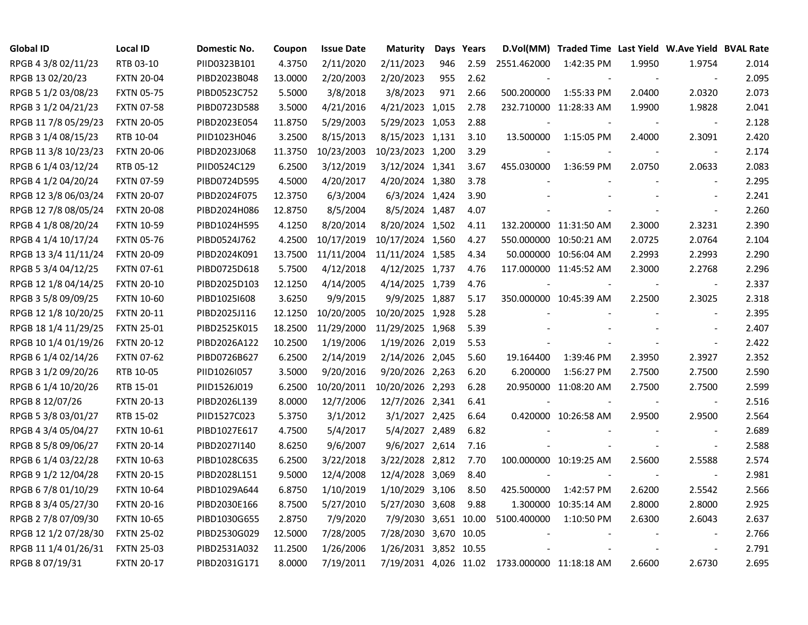| <b>Global ID</b>     | <b>Local ID</b>   | Domestic No. | Coupon  | <b>Issue Date</b> | <b>Maturity</b>       |     | Days Years |                                               | D.Vol(MM) Traded Time Last Yield W.Ave Yield BVAL Rate |        |                          |       |
|----------------------|-------------------|--------------|---------|-------------------|-----------------------|-----|------------|-----------------------------------------------|--------------------------------------------------------|--------|--------------------------|-------|
| RPGB 4 3/8 02/11/23  | RTB 03-10         | PIID0323B101 | 4.3750  | 2/11/2020         | 2/11/2023             | 946 | 2.59       | 2551.462000                                   | 1:42:35 PM                                             | 1.9950 | 1.9754                   | 2.014 |
| RPGB 13 02/20/23     | <b>FXTN 20-04</b> | PIBD2023B048 | 13.0000 | 2/20/2003         | 2/20/2023             | 955 | 2.62       |                                               |                                                        |        |                          | 2.095 |
| RPGB 5 1/2 03/08/23  | <b>FXTN 05-75</b> | PIBD0523C752 | 5.5000  | 3/8/2018          | 3/8/2023              | 971 | 2.66       | 500.200000                                    | 1:55:33 PM                                             | 2.0400 | 2.0320                   | 2.073 |
| RPGB 3 1/2 04/21/23  | <b>FXTN 07-58</b> | PIBD0723D588 | 3.5000  | 4/21/2016         | 4/21/2023 1,015       |     | 2.78       |                                               | 232.710000 11:28:33 AM                                 | 1.9900 | 1.9828                   | 2.041 |
| RPGB 11 7/8 05/29/23 | <b>FXTN 20-05</b> | PIBD2023E054 | 11.8750 | 5/29/2003         | 5/29/2023 1,053       |     | 2.88       |                                               |                                                        |        | $\blacksquare$           | 2.128 |
| RPGB 3 1/4 08/15/23  | RTB 10-04         | PIID1023H046 | 3.2500  | 8/15/2013         | 8/15/2023 1,131       |     | 3.10       | 13.500000                                     | 1:15:05 PM                                             | 2.4000 | 2.3091                   | 2.420 |
| RPGB 11 3/8 10/23/23 | <b>FXTN 20-06</b> | PIBD2023J068 | 11.3750 | 10/23/2003        | 10/23/2023 1,200      |     | 3.29       |                                               |                                                        |        | $\blacksquare$           | 2.174 |
| RPGB 6 1/4 03/12/24  | RTB 05-12         | PIID0524C129 | 6.2500  | 3/12/2019         | 3/12/2024 1,341       |     | 3.67       | 455.030000                                    | 1:36:59 PM                                             | 2.0750 | 2.0633                   | 2.083 |
| RPGB 4 1/2 04/20/24  | <b>FXTN 07-59</b> | PIBD0724D595 | 4.5000  | 4/20/2017         | 4/20/2024 1,380       |     | 3.78       |                                               |                                                        |        | $\blacksquare$           | 2.295 |
| RPGB 12 3/8 06/03/24 | <b>FXTN 20-07</b> | PIBD2024F075 | 12.3750 | 6/3/2004          | 6/3/2024 1,424        |     | 3.90       |                                               |                                                        |        | $\overline{a}$           | 2.241 |
| RPGB 12 7/8 08/05/24 | <b>FXTN 20-08</b> | PIBD2024H086 | 12.8750 | 8/5/2004          | 8/5/2024 1,487        |     | 4.07       |                                               |                                                        |        | $\blacksquare$           | 2.260 |
| RPGB 4 1/8 08/20/24  | <b>FXTN 10-59</b> | PIBD1024H595 | 4.1250  | 8/20/2014         | 8/20/2024 1,502       |     | 4.11       |                                               | 132.200000 11:31:50 AM                                 | 2.3000 | 2.3231                   | 2.390 |
| RPGB 4 1/4 10/17/24  | <b>FXTN 05-76</b> | PIBD0524J762 | 4.2500  | 10/17/2019        | 10/17/2024 1,560      |     | 4.27       |                                               | 550.000000 10:50:21 AM                                 | 2.0725 | 2.0764                   | 2.104 |
| RPGB 13 3/4 11/11/24 | <b>FXTN 20-09</b> | PIBD2024K091 | 13.7500 | 11/11/2004        | 11/11/2024 1,585      |     | 4.34       |                                               | 50.000000 10:56:04 AM                                  | 2.2993 | 2.2993                   | 2.290 |
| RPGB 5 3/4 04/12/25  | <b>FXTN 07-61</b> | PIBD0725D618 | 5.7500  | 4/12/2018         | 4/12/2025 1,737       |     | 4.76       |                                               | 117.000000 11:45:52 AM                                 | 2.3000 | 2.2768                   | 2.296 |
| RPGB 12 1/8 04/14/25 | <b>FXTN 20-10</b> | PIBD2025D103 | 12.1250 | 4/14/2005         | 4/14/2025 1,739       |     | 4.76       |                                               |                                                        |        |                          | 2.337 |
| RPGB 3 5/8 09/09/25  | <b>FXTN 10-60</b> | PIBD1025I608 | 3.6250  | 9/9/2015          | 9/9/2025 1,887        |     | 5.17       |                                               | 350.000000 10:45:39 AM                                 | 2.2500 | 2.3025                   | 2.318 |
| RPGB 12 1/8 10/20/25 | <b>FXTN 20-11</b> | PIBD2025J116 | 12.1250 | 10/20/2005        | 10/20/2025 1,928      |     | 5.28       |                                               |                                                        |        | $\blacksquare$           | 2.395 |
| RPGB 18 1/4 11/29/25 | <b>FXTN 25-01</b> | PIBD2525K015 | 18.2500 | 11/29/2000        | 11/29/2025 1,968      |     | 5.39       |                                               |                                                        |        | $\sim$                   | 2.407 |
| RPGB 10 1/4 01/19/26 | <b>FXTN 20-12</b> | PIBD2026A122 | 10.2500 | 1/19/2006         | 1/19/2026 2,019       |     | 5.53       |                                               |                                                        |        | $\overline{\phantom{a}}$ | 2.422 |
| RPGB 6 1/4 02/14/26  | <b>FXTN 07-62</b> | PIBD0726B627 | 6.2500  | 2/14/2019         | 2/14/2026 2,045       |     | 5.60       | 19.164400                                     | 1:39:46 PM                                             | 2.3950 | 2.3927                   | 2.352 |
| RPGB 3 1/2 09/20/26  | RTB 10-05         | PIID1026I057 | 3.5000  | 9/20/2016         | 9/20/2026 2,263       |     | 6.20       | 6.200000                                      | 1:56:27 PM                                             | 2.7500 | 2.7500                   | 2.590 |
| RPGB 6 1/4 10/20/26  | RTB 15-01         | PIID1526J019 | 6.2500  | 10/20/2011        | 10/20/2026 2,293      |     | 6.28       |                                               | 20.950000 11:08:20 AM                                  | 2.7500 | 2.7500                   | 2.599 |
| RPGB 8 12/07/26      | <b>FXTN 20-13</b> | PIBD2026L139 | 8.0000  | 12/7/2006         | 12/7/2026 2,341       |     | 6.41       |                                               |                                                        |        | $\blacksquare$           | 2.516 |
| RPGB 5 3/8 03/01/27  | RTB 15-02         | PIID1527C023 | 5.3750  | 3/1/2012          | 3/1/2027 2,425        |     | 6.64       |                                               | 0.420000 10:26:58 AM                                   | 2.9500 | 2.9500                   | 2.564 |
| RPGB 4 3/4 05/04/27  | <b>FXTN 10-61</b> | PIBD1027E617 | 4.7500  | 5/4/2017          | 5/4/2027 2,489        |     | 6.82       |                                               |                                                        |        | $\blacksquare$           | 2.689 |
| RPGB 8 5/8 09/06/27  | <b>FXTN 20-14</b> | PIBD2027I140 | 8.6250  | 9/6/2007          | 9/6/2027 2,614        |     | 7.16       |                                               |                                                        |        | $\blacksquare$           | 2.588 |
| RPGB 6 1/4 03/22/28  | <b>FXTN 10-63</b> | PIBD1028C635 | 6.2500  | 3/22/2018         | 3/22/2028 2,812       |     | 7.70       |                                               | 100.000000 10:19:25 AM                                 | 2.5600 | 2.5588                   | 2.574 |
| RPGB 9 1/2 12/04/28  | <b>FXTN 20-15</b> | PIBD2028L151 | 9.5000  | 12/4/2008         | 12/4/2028 3,069       |     | 8.40       |                                               |                                                        |        |                          | 2.981 |
| RPGB 67/8 01/10/29   | <b>FXTN 10-64</b> | PIBD1029A644 | 6.8750  | 1/10/2019         | 1/10/2029 3,106       |     | 8.50       | 425.500000                                    | 1:42:57 PM                                             | 2.6200 | 2.5542                   | 2.566 |
| RPGB 8 3/4 05/27/30  | <b>FXTN 20-16</b> | PIBD2030E166 | 8.7500  | 5/27/2010         | 5/27/2030 3,608       |     | 9.88       |                                               | 1.300000 10:35:14 AM                                   | 2.8000 | 2.8000                   | 2.925 |
| RPGB 2 7/8 07/09/30  | <b>FXTN 10-65</b> | PIBD1030G655 | 2.8750  | 7/9/2020          | 7/9/2030 3,651 10.00  |     |            | 5100.400000                                   | 1:10:50 PM                                             | 2.6300 | 2.6043                   | 2.637 |
| RPGB 12 1/2 07/28/30 | <b>FXTN 25-02</b> | PIBD2530G029 | 12.5000 | 7/28/2005         | 7/28/2030 3,670 10.05 |     |            |                                               |                                                        |        | $\overline{\phantom{a}}$ | 2.766 |
| RPGB 11 1/4 01/26/31 | <b>FXTN 25-03</b> | PIBD2531A032 | 11.2500 | 1/26/2006         | 1/26/2031 3,852 10.55 |     |            |                                               |                                                        |        | $\sim$                   | 2.791 |
| RPGB 8 07/19/31      | <b>FXTN 20-17</b> | PIBD2031G171 | 8.0000  | 7/19/2011         |                       |     |            | 7/19/2031 4,026 11.02 1733.000000 11:18:18 AM |                                                        | 2.6600 | 2.6730                   | 2.695 |